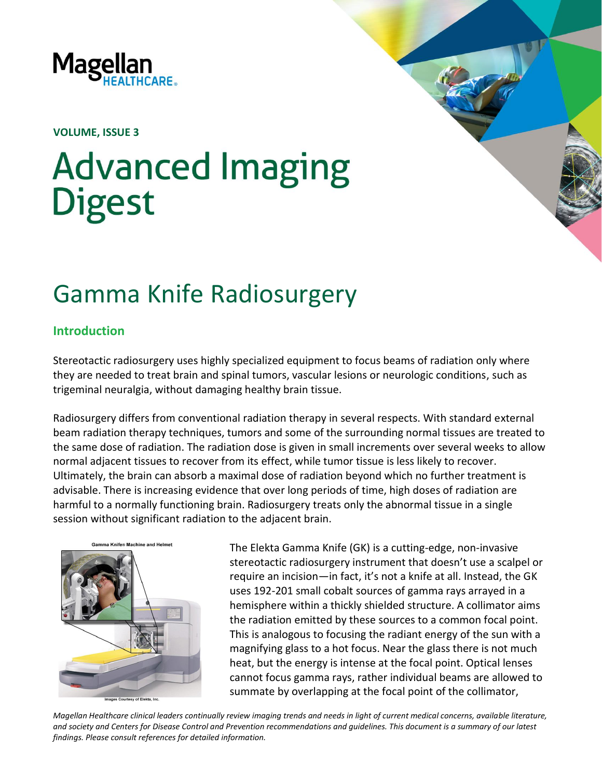

**VOLUME, ISSUE 3**

# **Advanced Imaging Digest**

# Gamma Knife Radiosurgery

# **Introduction**

Stereotactic radiosurgery uses highly specialized equipment to focus beams of radiation only where they are needed to treat brain and spinal tumors, vascular lesions or neurologic conditions, such as trigeminal neuralgia, without damaging healthy brain tissue.

Radiosurgery differs from conventional radiation therapy in several respects. With standard external beam radiation therapy techniques, tumors and some of the surrounding normal tissues are treated to the same dose of radiation. The radiation dose is given in small increments over several weeks to allow normal adjacent tissues to recover from its effect, while tumor tissue is less likely to recover. Ultimately, the brain can absorb a maximal dose of radiation beyond which no further treatment is advisable. There is increasing evidence that over long periods of time, high doses of radiation are harmful to a normally functioning brain. Radiosurgery treats only the abnormal tissue in a single session without significant radiation to the adjacent brain.



The Elekta Gamma Knife (GK) is a cutting-edge, non-invasive stereotactic radiosurgery instrument that doesn't use a scalpel or require an incision—in fact, it's not a knife at all. Instead, the GK uses 192-201 small cobalt sources of gamma rays arrayed in a hemisphere within a thickly shielded structure. A collimator aims the radiation emitted by these sources to a common focal point. This is analogous to focusing the radiant energy of the sun with a magnifying glass to a hot focus. Near the glass there is not much heat, but the energy is intense at the focal point. Optical lenses cannot focus gamma rays, rather individual beams are allowed to summate by overlapping at the focal point of the collimator,

*Magellan Healthcare clinical leaders continually review imaging trends and needs in light of current medical concerns, available literature, and society and Centers for Disease Control and Prevention recommendations and guidelines. This document is a summary of our latest findings. Please consult references for detailed information.*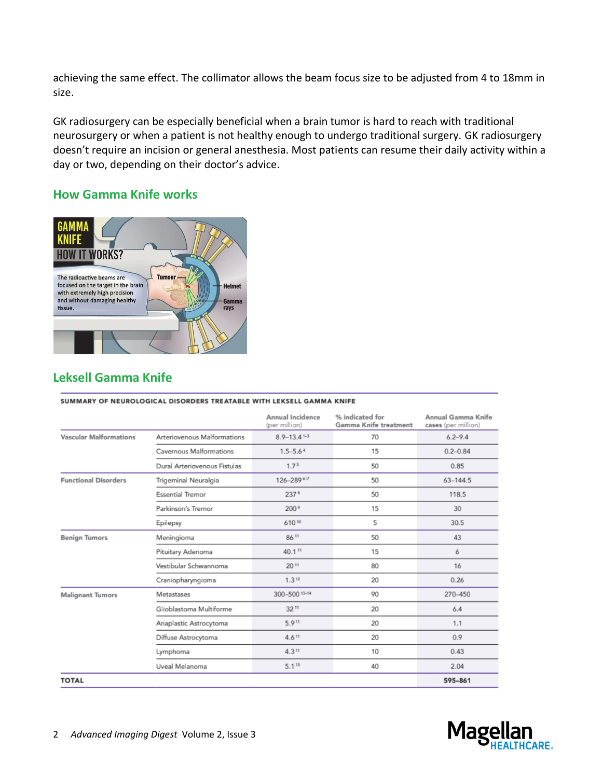achieving the same effect. The collimator allows the beam focus size to be adjusted from 4 to 18mm in size.

GK radiosurgery can be especially beneficial when a brain tumor is hard to reach with traditional neurosurgery or when a patient is not healthy enough to undergo traditional surgery. GK radiosurgery doesn't require an incision or general anesthesia. Most patients can resume their daily activity within a day or two, depending on their doctor's advice.

### **How Gamma Knife works**



# **Leksell Gamma Knife**

|                               |                              | Annual Incidence<br>(per million) | % indicated for<br>Gamma Knife treatment | Annual Gamma Knife<br>cases (per million) |
|-------------------------------|------------------------------|-----------------------------------|------------------------------------------|-------------------------------------------|
| <b>Vascular Malformations</b> | Arteriovenous Malformations  | $8.9 - 13.41 - 3$                 | 70                                       | $6.2 - 9.4$                               |
|                               | Cavernous Malformations      | $1.5 - 5.64$                      | 15                                       | $0.2 - 0.84$                              |
|                               | Dural Arteriovenous Fistulas | 1.7 <sup>5</sup>                  | 50                                       | 0.85                                      |
| <b>Functional Disorders</b>   | Trigeminal Neuralgia         | 126-289 6-7                       | 50                                       | $63 - 144.5$                              |
|                               | <b>Essential Tremor</b>      | 237 <sup>8</sup>                  | 50                                       | 118.5                                     |
|                               | Parkinson's Tremor           | 200 <sup>9</sup>                  | 15                                       | 30                                        |
|                               | Epilepsy                     | 61010                             | 5                                        | 30.5                                      |
| <b>Benign Tumors</b>          | Meningioma                   | 8611                              | 50                                       | 43                                        |
|                               | Pituitary Adenoma            | 40.111                            | 15                                       | 6                                         |
|                               | Vestibular Schwannoma        | 2011                              | 80                                       | 16                                        |
|                               | Craniopharyngioma            | 1.312                             | 20                                       | 0.26                                      |
| <b>Malignant Tumors</b>       | Metastases                   | 300-500 13-14                     | 90                                       | 270-450                                   |
|                               | Glioblastoma Multiforme      | $32^{11}$                         | 20                                       | 6.4                                       |
|                               | Anaplastic Astrocytoma       | 5.911                             | 20                                       | 1.1                                       |
|                               | Diffuse Astrocytoma          | 4.611                             | 20                                       | 0.9                                       |
|                               | Lymphoma                     | 4.311                             | 10                                       | 0.43                                      |
|                               | Uveal Melanoma               | $5.1^{15}$                        | 40                                       | 2.04                                      |
| <b>TOTAL</b>                  |                              |                                   |                                          | 595-861                                   |

#### SUMMARY OF NEUROLOGICAL DISORDERS TREATABLE WITH LEKSELL GAMMA KNIFE

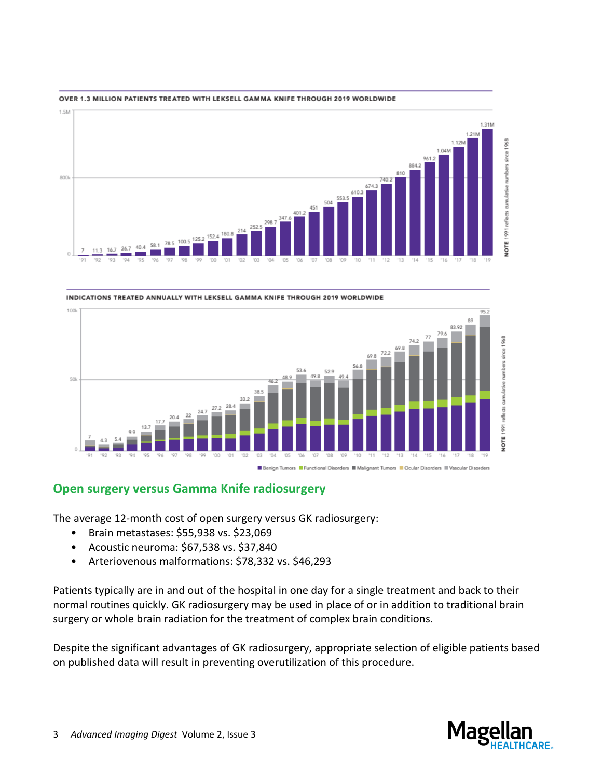

#### OVER 1.3 MILLION PATIENTS TREATED WITH LEKSELL GAMMA KNIFE THROUGH 2019 WORLDWIDE



#### INDICATIONS TREATED ANNUALLY WITH LEKSELL GAMMA KNIFE THROUGH 2019 WORLDWIDE

# **Open surgery versus Gamma Knife radiosurgery**

The average 12-month cost of open surgery versus GK radiosurgery:

- Brain metastases: \$55,938 vs. \$23,069
- Acoustic neuroma: \$67,538 vs. \$37,840
- Arteriovenous malformations: \$78,332 vs. \$46,293

Patients typically are in and out of the hospital in one day for a single treatment and back to their normal routines quickly. GK radiosurgery may be used in place of or in addition to traditional brain surgery or whole brain radiation for the treatment of complex brain conditions.

Despite the significant advantages of GK radiosurgery, appropriate selection of eligible patients based on published data will result in preventing overutilization of this procedure.

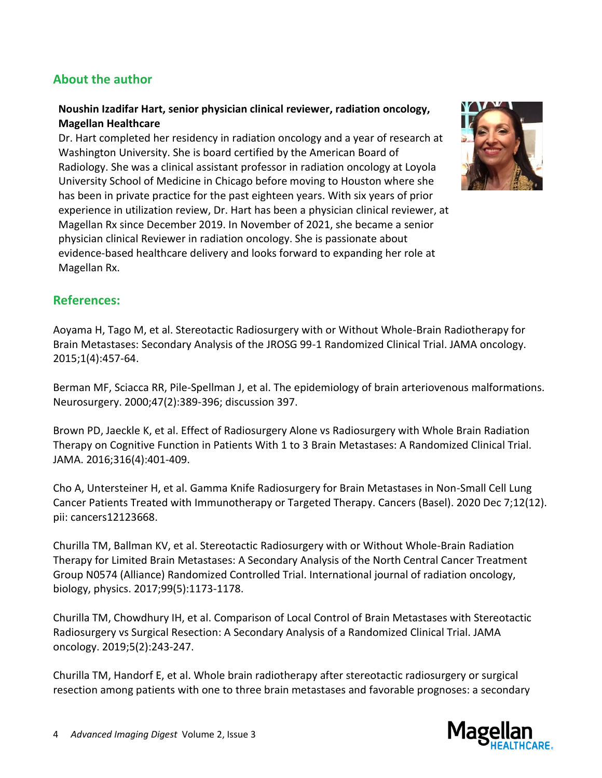# **About the author**

## **Noushin Izadifar Hart, senior physician clinical reviewer, radiation oncology, Magellan Healthcare**

Dr. Hart completed her residency in radiation oncology and a year of research at Washington University. She is board certified by the American Board of Radiology. She was a clinical assistant professor in radiation oncology at Loyola University School of Medicine in Chicago before moving to Houston where she has been in private practice for the past eighteen years. With six years of prior experience in utilization review, Dr. Hart has been a physician clinical reviewer, at Magellan Rx since December 2019. In November of 2021, she became a senior physician clinical Reviewer in radiation oncology. She is passionate about evidence-based healthcare delivery and looks forward to expanding her role at Magellan Rx.



# **References:**

Aoyama H, Tago M, et al. Stereotactic Radiosurgery with or Without Whole-Brain Radiotherapy for Brain Metastases: Secondary Analysis of the JROSG 99-1 Randomized Clinical Trial. JAMA oncology. 2015;1(4):457-64.

Berman MF, Sciacca RR, Pile-Spellman J, et al. The epidemiology of brain arteriovenous malformations. Neurosurgery. 2000;47(2):389-396; discussion 397.

Brown PD, Jaeckle K, et al. Effect of Radiosurgery Alone vs Radiosurgery with Whole Brain Radiation Therapy on Cognitive Function in Patients With 1 to 3 Brain Metastases: A Randomized Clinical Trial. JAMA. 2016;316(4):401-409.

Cho A, Untersteiner H, et al. Gamma Knife Radiosurgery for Brain Metastases in Non-Small Cell Lung Cancer Patients Treated with Immunotherapy or Targeted Therapy. Cancers (Basel). 2020 Dec 7;12(12). pii: cancers12123668.

Churilla TM, Ballman KV, et al. Stereotactic Radiosurgery with or Without Whole-Brain Radiation Therapy for Limited Brain Metastases: A Secondary Analysis of the North Central Cancer Treatment Group N0574 (Alliance) Randomized Controlled Trial. International journal of radiation oncology, biology, physics. 2017;99(5):1173-1178.

Churilla TM, Chowdhury IH, et al. Comparison of Local Control of Brain Metastases with Stereotactic Radiosurgery vs Surgical Resection: A Secondary Analysis of a Randomized Clinical Trial. JAMA oncology. 2019;5(2):243-247.

Churilla TM, Handorf E, et al. Whole brain radiotherapy after stereotactic radiosurgery or surgical resection among patients with one to three brain metastases and favorable prognoses: a secondary

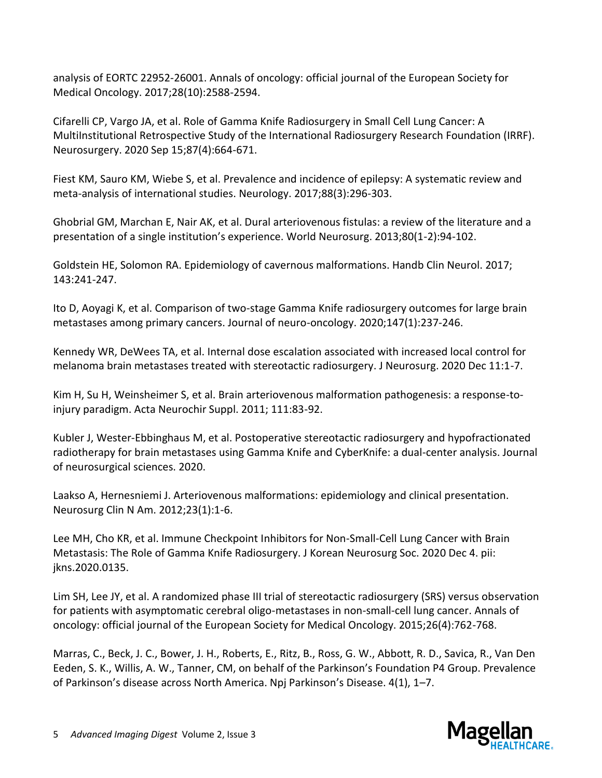analysis of EORTC 22952-26001. Annals of oncology: official journal of the European Society for Medical Oncology. 2017;28(10):2588-2594.

Cifarelli CP, Vargo JA, et al. Role of Gamma Knife Radiosurgery in Small Cell Lung Cancer: A MultiInstitutional Retrospective Study of the International Radiosurgery Research Foundation (IRRF). Neurosurgery. 2020 Sep 15;87(4):664-671.

Fiest KM, Sauro KM, Wiebe S, et al. Prevalence and incidence of epilepsy: A systematic review and meta-analysis of international studies. Neurology. 2017;88(3):296-303.

Ghobrial GM, Marchan E, Nair AK, et al. Dural arteriovenous fistulas: a review of the literature and a presentation of a single institution's experience. World Neurosurg. 2013;80(1-2):94-102.

Goldstein HE, Solomon RA. Epidemiology of cavernous malformations. Handb Clin Neurol. 2017; 143:241-247.

Ito D, Aoyagi K, et al. Comparison of two-stage Gamma Knife radiosurgery outcomes for large brain metastases among primary cancers. Journal of neuro-oncology. 2020;147(1):237-246.

Kennedy WR, DeWees TA, et al. Internal dose escalation associated with increased local control for melanoma brain metastases treated with stereotactic radiosurgery. J Neurosurg. 2020 Dec 11:1-7.

Kim H, Su H, Weinsheimer S, et al. Brain arteriovenous malformation pathogenesis: a response-toinjury paradigm. Acta Neurochir Suppl. 2011; 111:83-92.

Kubler J, Wester-Ebbinghaus M, et al. Postoperative stereotactic radiosurgery and hypofractionated radiotherapy for brain metastases using Gamma Knife and CyberKnife: a dual-center analysis. Journal of neurosurgical sciences. 2020.

Laakso A, Hernesniemi J. Arteriovenous malformations: epidemiology and clinical presentation. Neurosurg Clin N Am. 2012;23(1):1-6.

Lee MH, Cho KR, et al. Immune Checkpoint Inhibitors for Non-Small-Cell Lung Cancer with Brain Metastasis: The Role of Gamma Knife Radiosurgery. J Korean Neurosurg Soc. 2020 Dec 4. pii: jkns.2020.0135.

Lim SH, Lee JY, et al. A randomized phase III trial of stereotactic radiosurgery (SRS) versus observation for patients with asymptomatic cerebral oligo-metastases in non-small-cell lung cancer. Annals of oncology: official journal of the European Society for Medical Oncology. 2015;26(4):762-768.

Marras, C., Beck, J. C., Bower, J. H., Roberts, E., Ritz, B., Ross, G. W., Abbott, R. D., Savica, R., Van Den Eeden, S. K., Willis, A. W., Tanner, CM, on behalf of the Parkinson's Foundation P4 Group. Prevalence of Parkinson's disease across North America. Npj Parkinson's Disease. 4(1), 1–7.